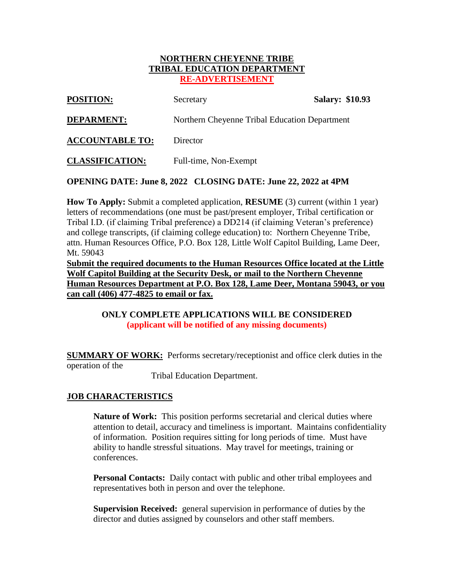#### **NORTHERN CHEYENNE TRIBE TRIBAL EDUCATION DEPARTMENT RE-ADVERTISEMENT**

| Secretary                                     | <b>Salary: \$10.93</b> |
|-----------------------------------------------|------------------------|
| Northern Cheyenne Tribal Education Department |                        |
| Director                                      |                        |
| Full-time, Non-Exempt                         |                        |
|                                               |                        |

**OPENING DATE: June 8, 2022 CLOSING DATE: June 22, 2022 at 4PM**

**How To Apply:** Submit a completed application, **RESUME** (3) current (within 1 year) letters of recommendations (one must be past/present employer, Tribal certification or Tribal I.D. (if claiming Tribal preference) a DD214 (if claiming Veteran's preference) and college transcripts, (if claiming college education) to: Northern Cheyenne Tribe, attn. Human Resources Office, P.O. Box 128, Little Wolf Capitol Building, Lame Deer, Mt. 59043

**Submit the required documents to the Human Resources Office located at the Little Wolf Capitol Building at the Security Desk, or mail to the Northern Cheyenne Human Resources Department at P.O. Box 128, Lame Deer, Montana 59043, or you can call (406) 477-4825 to email or fax.**

### **ONLY COMPLETE APPLICATIONS WILL BE CONSIDERED (applicant will be notified of any missing documents)**

**SUMMARY OF WORK:** Performs secretary/receptionist and office clerk duties in the operation of the

Tribal Education Department.

# **JOB CHARACTERISTICS**

**Nature of Work:** This position performs secretarial and clerical duties where attention to detail, accuracy and timeliness is important. Maintains confidentiality of information. Position requires sitting for long periods of time. Must have ability to handle stressful situations. May travel for meetings, training or conferences.

**Personal Contacts:** Daily contact with public and other tribal employees and representatives both in person and over the telephone.

**Supervision Received:** general supervision in performance of duties by the director and duties assigned by counselors and other staff members.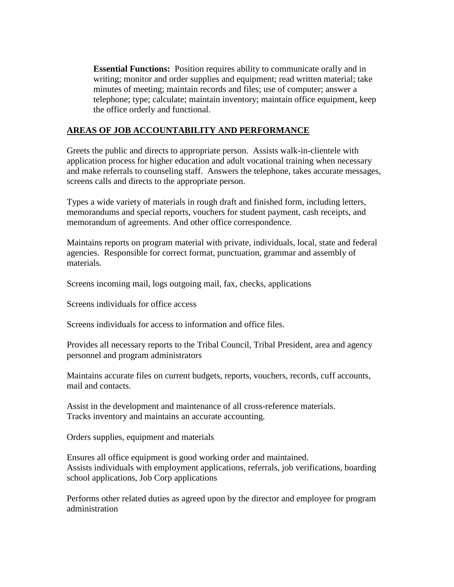**Essential Functions:** Position requires ability to communicate orally and in writing; monitor and order supplies and equipment; read written material; take minutes of meeting; maintain records and files; use of computer; answer a telephone; type; calculate; maintain inventory; maintain office equipment, keep the office orderly and functional.

### **AREAS OF JOB ACCOUNTABILITY AND PERFORMANCE**

Greets the public and directs to appropriate person. Assists walk-in-clientele with application process for higher education and adult vocational training when necessary and make referrals to counseling staff. Answers the telephone, takes accurate messages, screens calls and directs to the appropriate person.

Types a wide variety of materials in rough draft and finished form, including letters, memorandums and special reports, vouchers for student payment, cash receipts, and memorandum of agreements. And other office correspondence.

Maintains reports on program material with private, individuals, local, state and federal agencies. Responsible for correct format, punctuation, grammar and assembly of materials.

Screens incoming mail, logs outgoing mail, fax, checks, applications

Screens individuals for office access

Screens individuals for access to information and office files.

Provides all necessary reports to the Tribal Council, Tribal President, area and agency personnel and program administrators

Maintains accurate files on current budgets, reports, vouchers, records, cuff accounts, mail and contacts.

Assist in the development and maintenance of all cross-reference materials. Tracks inventory and maintains an accurate accounting.

Orders supplies, equipment and materials

Ensures all office equipment is good working order and maintained. Assists individuals with employment applications, referrals, job verifications, boarding school applications, Job Corp applications

Performs other related duties as agreed upon by the director and employee for program administration